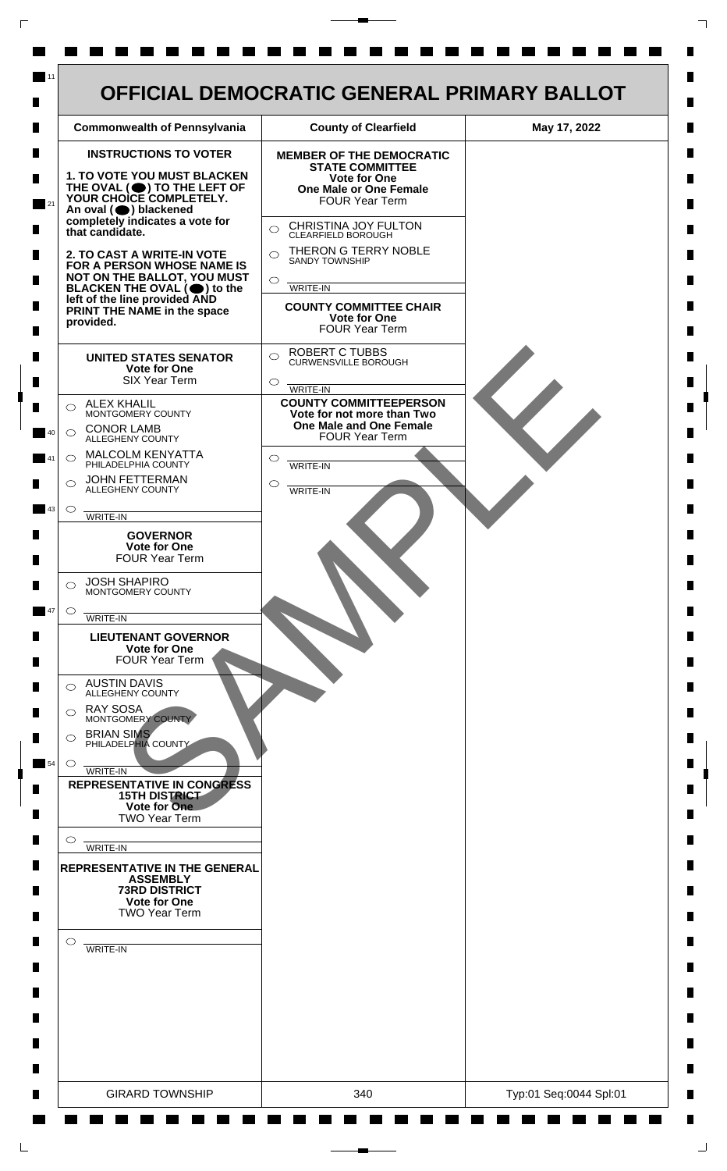

 $\mathsf{L}$ 

 $\Box$